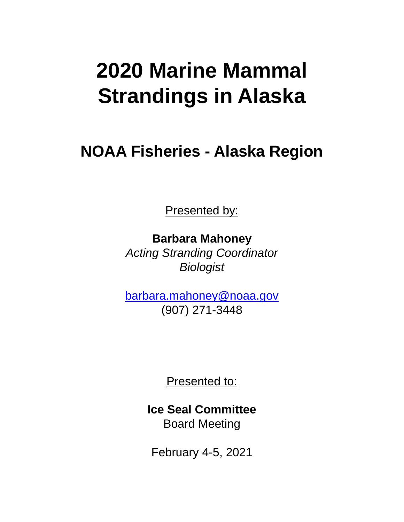# **2020 Marine Mammal Strandings in Alaska**

## **NOAA Fisheries - Alaska Region**

Presented by:

**Barbara Mahoney** *Acting Stranding Coordinator Biologist*

[barbara.mahoney@noaa.gov](mailto:barbara.mahoney@noaa.gov) (907) 271-3448

Presented to:

**Ice Seal Committee** Board Meeting

February 4-5, 2021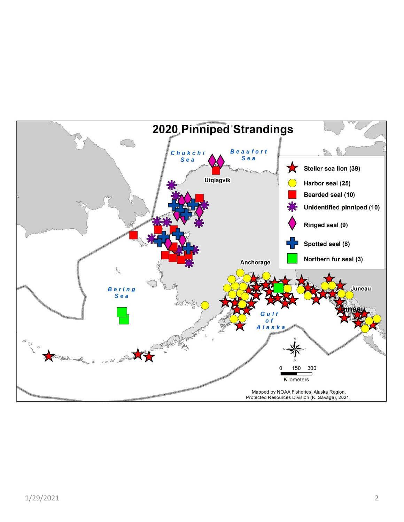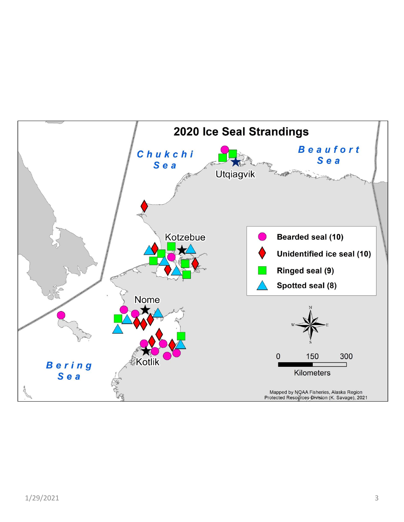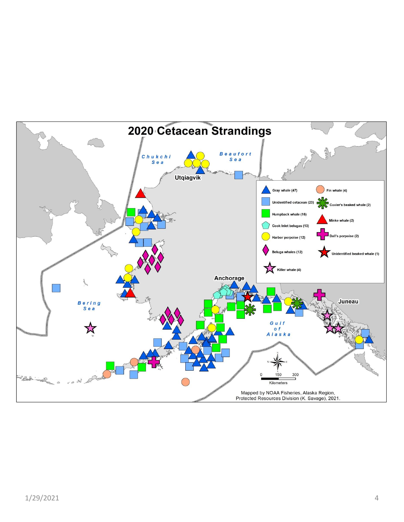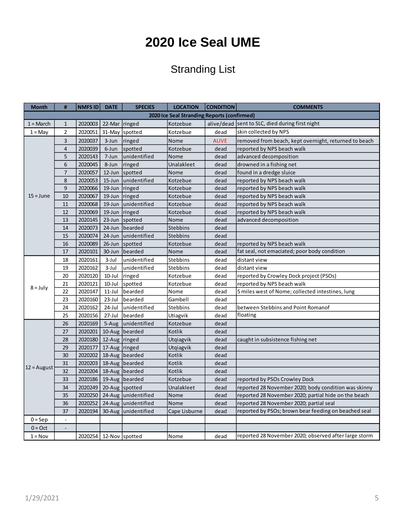#### **2020 Ice Seal UME**

#### Stranding List

| <b>Month</b>                                | #                        | NMFS ID                | <b>DATE</b>   | <b>SPECIES</b>      | <b>LOCATION</b> | <b>CONDITION</b> | <b>COMMENTS</b>                                       |  |  |
|---------------------------------------------|--------------------------|------------------------|---------------|---------------------|-----------------|------------------|-------------------------------------------------------|--|--|
| 2020 Ice Seal Stranding Reports (confirmed) |                          |                        |               |                     |                 |                  |                                                       |  |  |
| $1 = March$                                 | $\mathbf{1}$             | 2020003                | 22-Mar ringed |                     | Kotzebue        |                  | alive/dead sent to SLC, died during first night       |  |  |
| $1 = May$                                   | $\overline{2}$           | 2020051                |               | 31-May spotted      | Kotzebue        | dead             | skin collected by NPS                                 |  |  |
|                                             | 3                        | 2020037                | 3-Jun         | ringed              | Nome            | <b>ALIVE</b>     | removed from beach, kept overnight, returned to beach |  |  |
|                                             | $\overline{\mathbf{4}}$  | 2020039                | 6-Jun         | spotted             | Kotzebue        | dead             | reported by NPS beach walk                            |  |  |
|                                             | 5                        | 2020143                | 7-Jun         | unidentified        | Nome            | dead             | advanced decomposition                                |  |  |
|                                             | 6                        | 2020045                | 8-Jun         | ringed              | Unalakleet      | dead             | drowned in a fishing net                              |  |  |
|                                             | $\overline{7}$           | 2020057                | 12-Jun        | spotted             | Nome            | dead             | found in a dredge sluice                              |  |  |
|                                             | 8                        | 2020053                | 15-Jun        | unidentified        | Kotzebue        | dead             | reported by NPS beach walk                            |  |  |
|                                             | 9                        | 2020066                | 19-Jun        | ringed              | Kotzebue        | dead             | reported by NPS beach walk                            |  |  |
| $15 = June$                                 | 10                       | 2020067                | 19-Jun        | ringed              | Kotzebue        | dead             | reported by NPS beach walk                            |  |  |
|                                             | 11                       | 2020068                | 19-Jun        | unidentified        | Kotzebue        | dead             | reported by NPS beach walk                            |  |  |
|                                             | 12                       | 2020069                | 19-Jun        | ringed              | Kotzebue        | dead             | reported by NPS beach walk                            |  |  |
|                                             | 13                       | 2020145                | 23-Jun        | spotted             | Nome            | dead             | advanced decomposition                                |  |  |
|                                             | 14                       | 2020073                | 24-Jun        | bearded             | Stebbins        | dead             |                                                       |  |  |
|                                             | 15                       | 2020074                | 24-Jun        | unidentified        | <b>Stebbins</b> | dead             |                                                       |  |  |
|                                             | 16                       | 2020089                | $26$ -Jun     | spotted             | Kotzebue        | dead             | reported by NPS beach walk                            |  |  |
|                                             | 17                       | 2020101                | 30-Jun        | bearded             | Nome            | dead             | fat seal, not emaciated; poor body condition          |  |  |
|                                             | 18                       | 2020161                | $3$ -Jul      | unidentified        | Stebbins        | dead             | distant view                                          |  |  |
|                                             | 19                       | 2020162                | $3-Jul$       | unidentified        | <b>Stebbins</b> | dead             | distant view                                          |  |  |
|                                             | 20                       | 2020120                | $10$ -Jul     | ringed              | Kotzebue        | dead             | reported by Crowley Dock project (PSOs)               |  |  |
|                                             | 21                       | 2020121                | $10$ -Jul     | spotted             | Kotzebue        | dead             | reported by NPS beach walk                            |  |  |
| $8 = July$                                  | 22                       | 2020147                | $11-Jul$      | bearded             | Nome            | dead             | 5 miles west of Nome; collected intestines, lung      |  |  |
|                                             | 23                       | 2020160                | $23$ -Jul     | bearded             | Gambell         | dead             |                                                       |  |  |
|                                             | 24                       | 2020162                | 24-Jul        | unidentified        | <b>Stebbins</b> | dead             | between Stebbins and Point Romanof                    |  |  |
|                                             | 25                       | 2020156                | 27-Jul        | bearded             | Utiagvik        | dead             | floating                                              |  |  |
|                                             | 26                       | 2020169                | 5-Aug         | unidentified        | Kotzebue        | dead             |                                                       |  |  |
|                                             | 27                       | 2020201                |               | 10-Aug bearded      | Kotlik          | dead             |                                                       |  |  |
|                                             | 28                       | 2020180                | 12-Aug ringed |                     | Utgiagvik       | dead             | caught in subsistence fishing net                     |  |  |
|                                             | 29                       | 2020177                | 17-Aug ringed |                     | Utqiagvik       | dead             |                                                       |  |  |
|                                             | 30                       | 2020202                |               | 18-Aug bearded      | Kotlik          | dead             |                                                       |  |  |
|                                             | 31                       | 2020203                |               | 18-Aug bearded      | Kotlik          | dead             |                                                       |  |  |
| $12 =$ August                               | 32                       | 2020204                |               | 18-Aug bearded      | Kotlik          | dead             |                                                       |  |  |
|                                             | 33                       | 2020186                |               | 19-Aug bearded      | Kotzebue        | dead             | reported by PSOs Crowley Dock                         |  |  |
|                                             | 34                       | 2020249                |               | 20-Aug spotted      | Unalakleet      | dead             | reported 28 November 2020; body condition was skinny  |  |  |
|                                             | 35                       | 2020250                |               | 24-Aug unidentified | Nome            | dead             | reported 28 November 2020; partial hide on the beach  |  |  |
|                                             | 36                       | 2020252                |               | 24-Aug unidentified | Nome            | dead             | reported 28 November 2020; partial seal               |  |  |
|                                             | 37                       | 2020194                |               | 30-Aug unidentified | Cape Lisburne   | dead             | reported by PSOs; brown bear feeding on beached seal  |  |  |
| $0 = Sep$                                   | $\Box$                   |                        |               |                     |                 |                  |                                                       |  |  |
| $0 = Oct$                                   | $\overline{\phantom{a}}$ |                        |               |                     |                 |                  |                                                       |  |  |
| $1 = Nov$                                   |                          | 2020254 12-Nov spotted |               |                     | Nome            | dead             | reported 28 November 2020; observed after large storm |  |  |